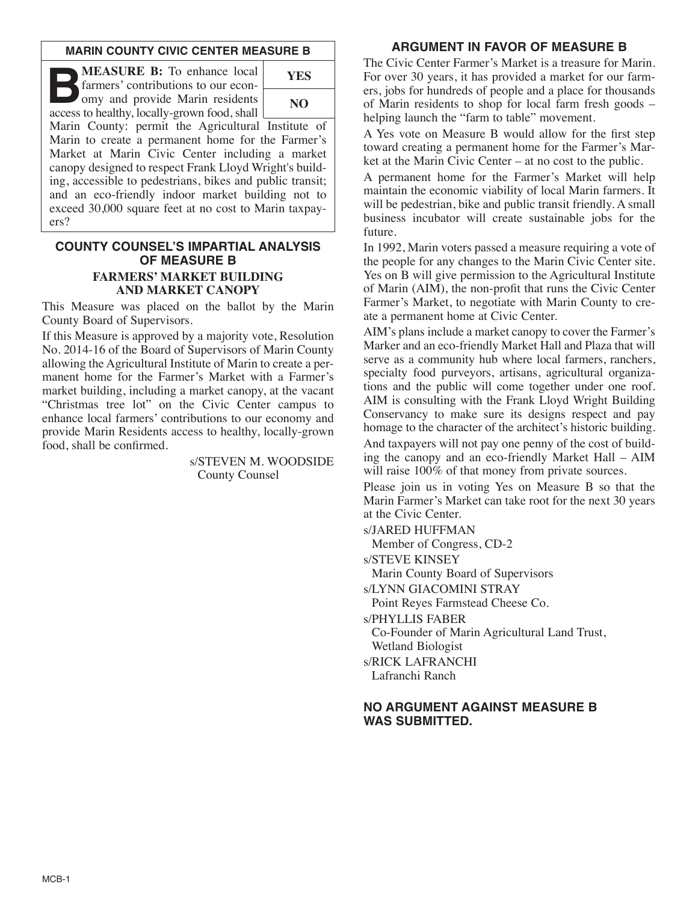### **MARIN COUNTY CIVIC CENTER MEASURE B**

**B:** To enhance local<br>
farmers' contributions to our econ-<br>
omy and provide Marin residents<br>
access to bealthy locally-grown food shall farmers' contributions to our econaccess to healthy, locally-grown food, shall



Marin County: permit the Agricultural Institute of Marin to create a permanent home for the Farmer's Market at Marin Civic Center including a market canopy designed to respect Frank Lloyd Wright's building, accessible to pedestrians, bikes and public transit; and an eco-friendly indoor market building not to exceed 30,000 square feet at no cost to Marin taxpayers?

### **COUNTY COUNSEL'S IMPARTIAL ANALYSIS OF MEASURE B FARMERS' MARKET BUILDING AND MARKET CANOPY**

This Measure was placed on the ballot by the Marin County Board of Supervisors.

If this Measure is approved by a majority vote, Resolution No. 2014-16 of the Board of Supervisors of Marin County allowing the Agricultural Institute of Marin to create a permanent home for the Farmer's Market with a Farmer's market building, including a market canopy, at the vacant "Christmas tree lot" on the Civic Center campus to enhance local farmers' contributions to our economy and provide Marin Residents access to healthy, locally-grown food, shall be confirmed.

> s/STEVEN M. WOODSIDE County Counsel

## **ARGUMENT IN FAVOR OF MEASURE B**

The Civic Center Farmer's Market is a treasure for Marin. For over 30 years, it has provided a market for our farmers, jobs for hundreds of people and a place for thousands of Marin residents to shop for local farm fresh goods – helping launch the "farm to table" movement.

A Yes vote on Measure B would allow for the first step toward creating a permanent home for the Farmer's Market at the Marin Civic Center – at no cost to the public.

A permanent home for the Farmer's Market will help maintain the economic viability of local Marin farmers. It will be pedestrian, bike and public transit friendly. A small business incubator will create sustainable jobs for the future.

In 1992, Marin voters passed a measure requiring a vote of the people for any changes to the Marin Civic Center site. Yes on B will give permission to the Agricultural Institute of Marin (AIM), the non-profit that runs the Civic Center Farmer's Market, to negotiate with Marin County to create a permanent home at Civic Center.

AIM's plans include a market canopy to cover the Farmer's Marker and an eco-friendly Market Hall and Plaza that will serve as a community hub where local farmers, ranchers, specialty food purveyors, artisans, agricultural organizations and the public will come together under one roof. AIM is consulting with the Frank Lloyd Wright Building Conservancy to make sure its designs respect and pay homage to the character of the architect's historic building.

And taxpayers will not pay one penny of the cost of building the canopy and an eco-friendly Market Hall – AIM will raise  $100\%$  of that money from private sources.

Please join us in voting Yes on Measure B so that the Marin Farmer's Market can take root for the next 30 years at the Civic Center.

s/JARED HUFFMAN

Member of Congress, CD-2

s/STEVE KINSEY

Marin County Board of Supervisors

s/LYNN GIACOMINI STRAY

Point Reyes Farmstead Cheese Co.

s/PHYLLIS FABER Co-Founder of Marin Agricultural Land Trust,

Wetland Biologist

s/RICK LAFRANCHI

Lafranchi Ranch

### **NO ARGUMENT AGAINST MEASURE B WAS SUBMITTED.**